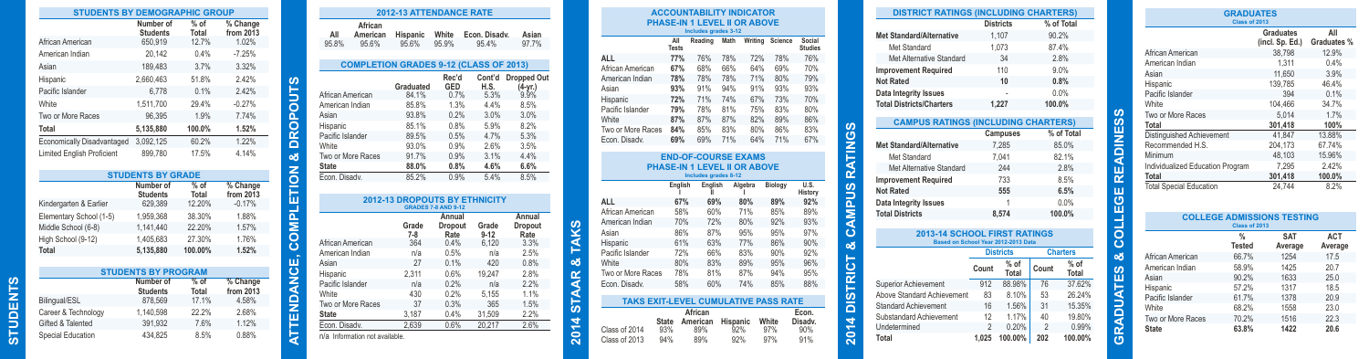| <b>STUDENTS BY DEMOGRAPHIC GROUP</b> |                              |                 |                                    |
|--------------------------------------|------------------------------|-----------------|------------------------------------|
|                                      | Number of<br><b>Students</b> | $%$ of<br>Total | % Change<br>from $2013$            |
| African American                     | 650,919                      | 12.7%           | 1.02%                              |
| American Indian                      | 20,142                       | 0.4%            | $-7.25%$                           |
| Asian                                | 189,483                      | 3.7%            | 3.32%                              |
| Hispanic                             | 2,660,463                    | 51.8%           | 2.42%                              |
| Pacific Islander                     | 6,778                        | 0.1%            | 2.42%                              |
| White                                | 1,511,700                    | 29.4%           | $-0.27%$                           |
| Two or More Races                    | 96,395                       | 1.9%            | 7.74%                              |
| Total                                | 5,135,880                    | 100.0%          | 1.52%                              |
| Economically Disadvantaged           | 3,092,125                    | 60.2%           | 1.22%                              |
| <b>Limited English Proficient</b>    | 899,780                      | 17.5%           | 4.14%                              |
|                                      | <b>STUDENTS BY GRADE</b>     |                 |                                    |
|                                      | Number of<br><b>Students</b> | $%$ of<br>Total | % Change<br>from $20\overline{1}3$ |
| Kindergarten & Earlier               | 629,389                      | 12.20%          | $-0.17%$                           |
| Elementary School (1-5)              | 1.959.368                    | 38.30%          | 1.88%                              |
| Middle School (6-8)                  | 1.141.440                    | 22.20%          | 1.57%                              |
| High School (9-12)                   | 1,405,683                    | 27.30%          | 1.76%                              |
| Total                                | 5,135,880                    | 100.00%         | 1.52%                              |
|                                      | <b>STUDENTS BY PROGRAM</b>   |                 |                                    |

| <b>STUDENTS BY PROGRAM</b> |                              |                 |                                    |  |  |  |
|----------------------------|------------------------------|-----------------|------------------------------------|--|--|--|
|                            | Number of<br><b>Students</b> | $%$ of<br>Total | % Change<br>from $20\overline{1}3$ |  |  |  |
| Bilingual/ESL              | 878.569                      | 17.1%           | 4.58%                              |  |  |  |
| Career & Technology        | 1.140.598                    | 22.2%           | 2.68%                              |  |  |  |
| Gifted & Talented          | 391.932                      | 7.6%            | 1.12%                              |  |  |  |
| Special Education          | 434.825                      | 8.5%            | 0.88%                              |  |  |  |
|                            |                              |                 |                                    |  |  |  |

**STUDENTS**

**STUDENTS** 

| African<br>All<br>American<br>95.8%<br>95.6%  | Hispanic<br>95.6%                    | White<br>95.9%             | Econ. Disadv.<br>95.4% | Asian<br>97.7%               |
|-----------------------------------------------|--------------------------------------|----------------------------|------------------------|------------------------------|
| <b>COMPLETION GRADES 9-12 (CLASS OF 2013)</b> |                                      |                            |                        |                              |
|                                               |                                      | Rec'd                      | Cont'd                 | <b>Dropped Out</b>           |
|                                               | Graduated                            | GED                        | H.S.                   | $(4-yr.)$                    |
| African American                              | 84.1%                                | 0.7%                       | 5.3%                   | 9.9%                         |
| American Indian                               | 85.8%                                | 1.3%                       | 4.4%                   | 8.5%                         |
| Asian                                         | 93.8%                                | 0.2%                       | 3.0%                   | 3.0%                         |
| Hispanic                                      | 85.1%                                | 0.8%                       | 5.9%                   | 8.2%                         |
| Pacific Islander                              | 89.5%                                | 0.5%                       | 4.7%                   | 5.3%                         |
| White                                         | 93.0%                                | 0.9%                       | 2.6%                   | 3.5%                         |
| Two or More Races                             | 91.7%                                | 0.9%                       | 3.1%                   | 4.4%                         |
| <b>State</b>                                  | 88.0%                                | 0.8%                       | 4.6%                   | 6.6%                         |
| Econ. Disady.                                 | 85.2%                                | 0.9%                       | 5.4%                   | 8.5%                         |
|                                               |                                      |                            |                        |                              |
|                                               | <b>2012-13 DROPOUTS BY ETHNICITY</b> | <b>GRADES 7-8 AND 9-12</b> |                        |                              |
|                                               | Grade                                | Annual<br>Dropout          | Grade                  | Annual<br>Dropout            |
| African American                              | $7 - 8$<br>364                       | Rate<br>0.4%               | $9 - 12$<br>6.120      | Rate<br>3.3%                 |
| American Indian                               | n/a                                  | 0.5%                       | n/a                    | 2.5%                         |
| Asian                                         | 27                                   | 0.1%                       | 420                    |                              |
| Hispanic                                      | 2,311                                | 0.6%                       | 19,247                 |                              |
| Pacific Islander                              | n/a                                  | 0.2%                       | n/a                    |                              |
| White                                         | 430                                  | 0.2%                       | 5.155                  | 0.8%<br>2.8%<br>2.2%<br>1.1% |
| Two or More Races                             | 37                                   | 0.3%                       | 365                    |                              |
| <b>State</b>                                  | 3.187                                | 0.4%                       | 31,509                 | 1.5%<br>2.2%                 |

| PHASE-IN 1 LEVEL II OR ABOVE<br>Includes grades 3-12                                 |                     |                 |                 |            |              |                          |
|--------------------------------------------------------------------------------------|---------------------|-----------------|-----------------|------------|--------------|--------------------------|
|                                                                                      | All<br><b>Tests</b> | Reading         | Math            | Writina    | Science      | Social<br><b>Studies</b> |
| <b>ALL</b>                                                                           | <b>77%</b>          | 76%             | 78%             | 72%        | 78%          | 76%                      |
| African American                                                                     | 67%                 | 68%             | 66%             | 64%        | 69%          | 70%                      |
| American Indian                                                                      | 78%                 | 78%             | 78%             | 71%        | 80%          | 79%                      |
| Asian                                                                                | 93%                 | 91%             | 94%             | 91%        | 93%          | 93%                      |
| Hispanic                                                                             | 72%                 | 71%             | 74%             | 67%        | 73%          | 70%                      |
| Pacific Islander                                                                     | 79%                 | 78%             | 81%             | 75%        | 83%          | 80%                      |
| White                                                                                | 87%                 | 87%             | 87%             | 82%        | 89%          | 86%                      |
| Two or More Races                                                                    | 84%                 | 85%             | 83%             | 80%        | 86%          | 83%                      |
| Econ. Disady.                                                                        | 69%                 | 69%             | 71%             | 64%        | 71%          | 67%                      |
|                                                                                      | English             | English         |                 | Algebra    | Biology      | U.S.<br>History          |
| <b>ALL</b>                                                                           | 67%                 | 69%             |                 | 80%        | 89%          | 92%                      |
| African American                                                                     | 58%                 | 60%             |                 | 71%        | 85%          | 89%                      |
| American Indian                                                                      | 70%                 | 72%             |                 | 80%        | 92%          | 93%                      |
|                                                                                      | 86%                 | 87%             |                 | 95%        | 95%          | 97%                      |
|                                                                                      |                     |                 |                 |            |              |                          |
|                                                                                      |                     |                 |                 |            |              |                          |
|                                                                                      | 61%<br>72%          | 63%<br>66%      |                 | 77%<br>83% | 86%<br>90%   | 90%<br>92%               |
|                                                                                      | 80%                 | 83%             |                 | 89%        | 95%          | 96%                      |
|                                                                                      | 78%                 | 81%             |                 | 87%        | 94%          | 95%                      |
| Asian<br>Hispanic<br>Pacific Islander<br>White<br>Two or More Races<br>Econ. Disady. | 58%                 | 60%             |                 | 74%        | 85%          | 88%                      |
| <b>TAKS EXIT-LEVEL CUMULATIVE PASS RATE</b>                                          |                     |                 |                 |            |              |                          |
|                                                                                      |                     | African         |                 |            |              | Econ.                    |
| <b>State</b><br>Class of 2014<br>93%                                                 |                     | American<br>89% | Hispanic<br>92% |            | White<br>97% | Disady.<br>90%           |

**2014 STAAR & TAKS**

2014 STAAR & TAKS

| <b>DISTRICT RATINGS (INCLUDING CHARTERS)</b>                               |                |                  |                |                 |
|----------------------------------------------------------------------------|----------------|------------------|----------------|-----------------|
|                                                                            |                | <b>Districts</b> |                | % of Total      |
| <b>Met Standard/Alternative</b>                                            |                | 1.107            |                | 90.2%           |
| Met Standard                                                               |                | 1.073            | 87.4%          |                 |
| Met Alternative Standard                                                   |                | 34               |                | 2.8%            |
| <b>Improvement Required</b>                                                |                | 110              |                | 9.0%            |
| <b>Not Rated</b>                                                           |                | 10               |                | 0.8%            |
| Data Integrity Issues                                                      |                |                  |                | 0.0%            |
| <b>Total Districts/Charters</b>                                            |                | 1.227            | 100.0%         |                 |
| <b>CAMPUS RATINGS (INCLUDING CHARTERS)</b>                                 |                |                  |                |                 |
|                                                                            |                | Campuses         |                | % of Total      |
| <b>Met Standard/Alternative</b>                                            |                | 7,285            |                | 85.0%           |
| Met Standard                                                               |                | 7.041            |                | 82.1%           |
| Met Alternative Standard                                                   |                | 244              |                | 2.8%            |
| <b>Improvement Required</b>                                                |                | 733              | 8.5%           |                 |
| <b>Not Rated</b>                                                           |                | 555              | 6.5%           |                 |
| <b>Data Integrity Issues</b>                                               |                | 1                |                | 0.0%            |
| <b>Total Districts</b>                                                     |                | 8.574            |                | 100.0%          |
| <b>2013-14 SCHOOL FIRST RATINGS</b><br>Based on School Year 2012-2013 Data |                |                  |                |                 |
|                                                                            |                | <b>Districts</b> |                | <b>Charters</b> |
|                                                                            | Count          | $%$ of<br>Total  | Count          | $%$ of<br>Total |
| <b>Superior Achievement</b>                                                | 912            | 88.98%           | 76             | 37.62%          |
| Above Standard Achievement                                                 | 83             | 8.10%            | 53             | 26.24%          |
| <b>Standard Achievement</b>                                                | 16             | 1.56%            | 31             | 15.35%          |
| Substandard Achievement                                                    | 12             | 1.17%            | 40             | 19.80%          |
| Undetermined                                                               | $\mathfrak{D}$ | 0.20%            | $\mathfrak{p}$ | 0.99%           |
| Total                                                                      | 1.025          | 100.00%          | 202            | 100.00%         |

|                                   | <b>GRADUATES</b><br>Class of 2013 |                       |
|-----------------------------------|-----------------------------------|-----------------------|
|                                   | Graduates<br>(incl. Sp. Ed.)      | All<br>Graduates %    |
| African American                  | 38.798                            | 12.9%                 |
| American Indian                   | 1.311                             | 0.4%                  |
| Asian                             | 11,650                            | 3.9%                  |
| Hispanic                          | 139.785                           | 46.4%                 |
| Pacific Islander                  | 394                               | 0.1%                  |
| White                             | 104,466                           | 34.7%                 |
| Two or More Races                 | 5.014                             | 1.7%                  |
| Total                             | 301.418                           | 100%                  |
| Distinguished Achievement         | 41,847                            | 13.88%                |
| Recommended H.S.                  | 204,173                           | 67.74%                |
| Minimum                           | 48.103                            | 15.96%                |
| Individualized Education Program  | 7.295                             | 2.42%                 |
| <b>Total</b>                      | 301,418                           | 100.0%                |
| <b>Total Special Education</b>    | 24.744                            | 8.2%                  |
| <b>COLLEGE ADMISSIONS TESTING</b> | Class of 2013                     |                       |
| %<br><b>Tested</b>                | <b>SAT</b><br>Average             | <b>ACT</b><br>Average |
| 66.7%<br>African American         | 1254                              | 17.5                  |

| <b>COLLEGE ADMISSIONS TESTING</b><br>Class of 2013 |                                |                       |                       |  |  |
|----------------------------------------------------|--------------------------------|-----------------------|-----------------------|--|--|
|                                                    | $\frac{9}{6}$<br><b>Tested</b> | <b>SAT</b><br>Average | <b>ACT</b><br>Average |  |  |
| African American                                   | 66.7%                          | 1254                  | 17.5                  |  |  |
| American Indian                                    | 58.9%                          | 1425                  | 20.7                  |  |  |
| Asian                                              | 90.2%                          | 1633                  | 25.0                  |  |  |
| Hispanic                                           | 57.2%                          | 1317                  | 18.5                  |  |  |
| Pacific Islander                                   | 61.7%                          | 1378                  | 20.9                  |  |  |
| White                                              | 68.2%                          | 1558                  | 23.0                  |  |  |
| Two or More Races                                  | 70.2%                          | 1516                  | 22.3                  |  |  |
| <b>State</b>                                       | 63.8%                          | 1422                  | 20.6                  |  |  |

**GRADUATES & COLLEGE READINESS**

**GRADUATES & COLLEGE READINESS**